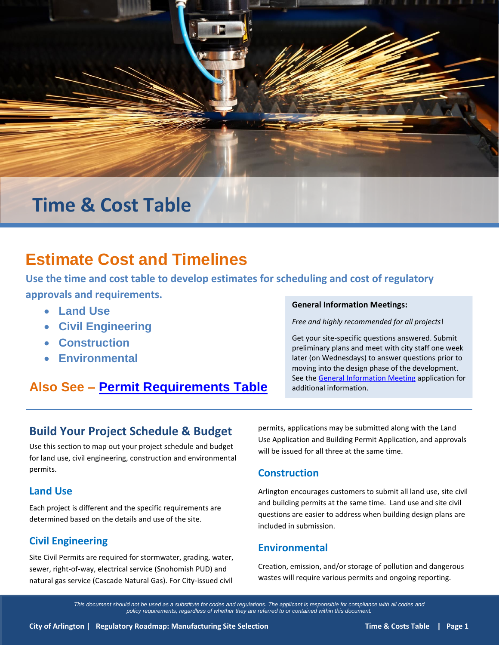

# **Time & Cost Table**

# **Estimate Cost and Timelines**

**Use the time and cost table to develop estimates for scheduling and cost of regulatory approvals and requirements.**

- **Land Use**
- **Civil Engineering**
- **Construction**
- **Environmental**

# **Also See – [Permit Requirements Table](http://www.arlingtonwa.gov/roadmap-projectpermitting)**

#### **General Information Meetings:**

*Free and highly recommended for all projects*!

Get your site-specific questions answered. Submit preliminary plans and meet with city staff one week later (on Wednesdays) to answer questions prior to moving into the design phase of the development. See the [General Information Meeting](http://www.arlingtonwa.gov/index.aspx?page=491) application for additional information.

## **Build Your Project Schedule & Budget**

Use this section to map out your project schedule and budget for land use, civil engineering, construction and environmental permits.

#### **Land Use**

Each project is different and the specific requirements are determined based on the details and use of the site.

### **Civil Engineering**

Site Civil Permits are required for stormwater, grading, water, sewer, right-of-way, electrical service (Snohomish PUD) and natural gas service (Cascade Natural Gas). For City-issued civil

permits, applications may be submitted along with the Land Use Application and Building Permit Application, and approvals will be issued for all three at the same time.

#### **Construction**

Arlington encourages customers to submit all land use, site civil and building permits at the same time. Land use and site civil questions are easier to address when building design plans are included in submission.

### **Environmental**

Creation, emission, and/or storage of pollution and dangerous wastes will require various permits and ongoing reporting.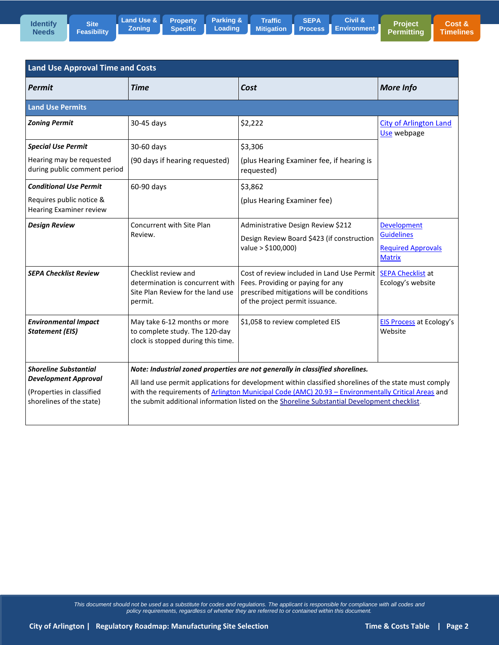

**[Property](http://www.arlingtonwa.gov/roadmap-site)  Specific Loading**



**Project** 

| <b>Land Use Approval Time and Costs</b>                    |                                                                                                                                                                                                    |                                                                                                                                                                                     |                                                                                |  |  |
|------------------------------------------------------------|----------------------------------------------------------------------------------------------------------------------------------------------------------------------------------------------------|-------------------------------------------------------------------------------------------------------------------------------------------------------------------------------------|--------------------------------------------------------------------------------|--|--|
| Permit                                                     | Time                                                                                                                                                                                               | Cost                                                                                                                                                                                | <b>More Info</b>                                                               |  |  |
| <b>Land Use Permits</b>                                    |                                                                                                                                                                                                    |                                                                                                                                                                                     |                                                                                |  |  |
| <b>Zoning Permit</b>                                       | 30-45 days                                                                                                                                                                                         | \$2,222                                                                                                                                                                             | <b>City of Arlington Land</b><br>Use webpage                                   |  |  |
| <b>Special Use Permit</b>                                  | 30-60 days                                                                                                                                                                                         | \$3,306                                                                                                                                                                             |                                                                                |  |  |
| Hearing may be requested<br>during public comment period   | (90 days if hearing requested)                                                                                                                                                                     | (plus Hearing Examiner fee, if hearing is<br>requested)                                                                                                                             |                                                                                |  |  |
| <b>Conditional Use Permit</b>                              | 60-90 days                                                                                                                                                                                         | \$3,862                                                                                                                                                                             |                                                                                |  |  |
| Requires public notice &<br><b>Hearing Examiner review</b> |                                                                                                                                                                                                    | (plus Hearing Examiner fee)                                                                                                                                                         |                                                                                |  |  |
| <b>Design Review</b>                                       | Concurrent with Site Plan<br>Review.                                                                                                                                                               | Administrative Design Review \$212<br>Design Review Board \$423 (if construction<br>value > \$100,000)                                                                              | Development<br><b>Guidelines</b><br><b>Required Approvals</b><br><b>Matrix</b> |  |  |
| <b>SEPA Checklist Review</b>                               | Checklist review and<br>determination is concurrent with<br>Site Plan Review for the land use<br>permit.                                                                                           | Cost of review included in Land Use Permit   SEPA Checklist at<br>Fees. Providing or paying for any<br>prescribed mitigations will be conditions<br>of the project permit issuance. | Ecology's website                                                              |  |  |
| <b>Environmental Impact</b><br><b>Statement (EIS)</b>      | May take 6-12 months or more<br>to complete study. The 120-day<br>clock is stopped during this time.                                                                                               | \$1,058 to review completed EIS                                                                                                                                                     | EIS Process at Ecology's<br>Website                                            |  |  |
| <b>Shoreline Substantial</b>                               |                                                                                                                                                                                                    | Note: Industrial zoned properties are not generally in classified shorelines.                                                                                                       |                                                                                |  |  |
| <b>Development Approval</b>                                | All land use permit applications for development within classified shorelines of the state must comply                                                                                             |                                                                                                                                                                                     |                                                                                |  |  |
| (Properties in classified<br>shorelines of the state)      | with the requirements of Arlington Municipal Code (AMC) 20.93 - Environmentally Critical Areas and<br>the submit additional information listed on the Shoreline Substantial Development checklist. |                                                                                                                                                                                     |                                                                                |  |  |
|                                                            |                                                                                                                                                                                                    |                                                                                                                                                                                     |                                                                                |  |  |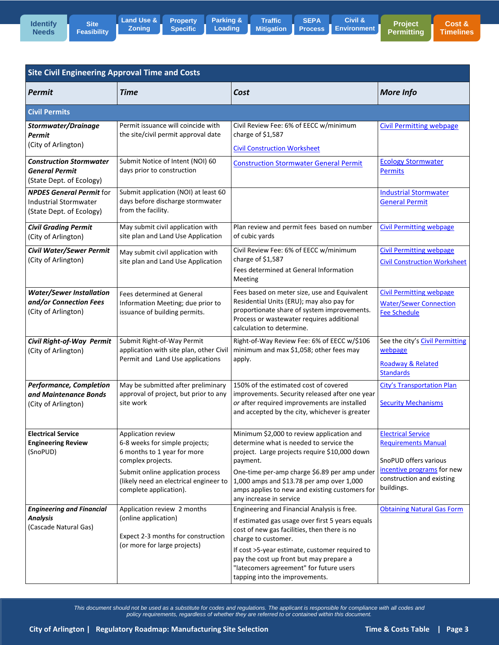**Site [Feasibility](http://www.arlingtonwa.gov/roadmap-locationsearch)** **[Property](http://www.arlingtonwa.gov/roadmap-site)  Specific [Parking &](http://www.arlingtonwa.gov/roadmap-parking)  Loading**

**SEPA Traffic [Mitigation](http://www.arlingtonwa.gov/roadmap-traffic)** Ш **[Process](http://www.arlingtonwa.gov/roadmap-sepa) [Environment](http://www.arlingtonwa.gov/roadmap-civil)**

**Project [Permitting](http://www.arlingtonwa.gov/roadmap-projectpermitting)  Civil &** 

| <b>Site Civil Engineering Approval Time and Costs</b>                                       |                                                                                                                                                                                                                   |                                                                                                                                                                                                                                                                                                                                                  |                                                                                                                                                           |  |  |
|---------------------------------------------------------------------------------------------|-------------------------------------------------------------------------------------------------------------------------------------------------------------------------------------------------------------------|--------------------------------------------------------------------------------------------------------------------------------------------------------------------------------------------------------------------------------------------------------------------------------------------------------------------------------------------------|-----------------------------------------------------------------------------------------------------------------------------------------------------------|--|--|
| <b>Permit</b>                                                                               | Time                                                                                                                                                                                                              | Cost                                                                                                                                                                                                                                                                                                                                             | <b>More Info</b>                                                                                                                                          |  |  |
| <b>Civil Permits</b>                                                                        |                                                                                                                                                                                                                   |                                                                                                                                                                                                                                                                                                                                                  |                                                                                                                                                           |  |  |
| Stormwater/Drainage<br><b>Permit</b><br>(City of Arlington)                                 | Permit issuance will coincide with<br>the site/civil permit approval date                                                                                                                                         | Civil Review Fee: 6% of EECC w/minimum<br>charge of \$1,587<br><b>Civil Construction Worksheet</b>                                                                                                                                                                                                                                               | <b>Civil Permitting webpage</b>                                                                                                                           |  |  |
| <b>Construction Stormwater</b><br><b>General Permit</b><br>(State Dept. of Ecology)         | Submit Notice of Intent (NOI) 60<br>days prior to construction                                                                                                                                                    | <b>Construction Stormwater General Permit</b>                                                                                                                                                                                                                                                                                                    | <b>Ecology Stormwater</b><br><b>Permits</b>                                                                                                               |  |  |
| <b>NPDES General Permit for</b><br><b>Industrial Stormwater</b><br>(State Dept. of Ecology) | Submit application (NOI) at least 60<br>days before discharge stormwater<br>from the facility.                                                                                                                    |                                                                                                                                                                                                                                                                                                                                                  | <b>Industrial Stormwater</b><br><b>General Permit</b>                                                                                                     |  |  |
| <b>Civil Grading Permit</b><br>(City of Arlington)                                          | May submit civil application with<br>site plan and Land Use Application                                                                                                                                           | Plan review and permit fees based on number<br>of cubic yards                                                                                                                                                                                                                                                                                    | <b>Civil Permitting webpage</b>                                                                                                                           |  |  |
| <b>Civil Water/Sewer Permit</b><br>(City of Arlington)                                      | May submit civil application with<br>site plan and Land Use Application                                                                                                                                           | Civil Review Fee: 6% of EECC w/minimum<br>charge of \$1,587<br>Fees determined at General Information<br>Meeting                                                                                                                                                                                                                                 | <b>Civil Permitting webpage</b><br><b>Civil Construction Worksheet</b>                                                                                    |  |  |
| <b>Water/Sewer Installation</b><br>and/or Connection Fees<br>(City of Arlington)            | <b>Fees determined at General</b><br>Information Meeting; due prior to<br>issuance of building permits.                                                                                                           | Fees based on meter size, use and Equivalent<br>Residential Units (ERU); may also pay for<br>proportionate share of system improvements.<br>Process or wastewater requires additional<br>calculation to determine.                                                                                                                               | <b>Civil Permitting webpage</b><br><b>Water/Sewer Connection</b><br><b>Fee Schedule</b>                                                                   |  |  |
| Civil Right-of-Way Permit<br>(City of Arlington)                                            | Submit Right-of-Way Permit<br>application with site plan, other Civil<br>Permit and Land Use applications                                                                                                         | Right-of-Way Review Fee: 6% of EECC w/\$106<br>minimum and max \$1,058; other fees may<br>apply.                                                                                                                                                                                                                                                 | See the city's Civil Permitting<br>webpage<br>Roadway & Related<br><b>Standards</b>                                                                       |  |  |
| <b>Performance, Completion</b><br>and Maintenance Bonds<br>(City of Arlington)              | May be submitted after preliminary<br>approval of project, but prior to any<br>site work                                                                                                                          | 150% of the estimated cost of covered<br>improvements. Security released after one year<br>or after required improvements are installed<br>and accepted by the city, whichever is greater                                                                                                                                                        | <b>City's Transportation Plan</b><br><b>Security Mechanisms</b>                                                                                           |  |  |
| <b>Electrical Service</b><br><b>Engineering Review</b><br>(SnoPUD)                          | Application review<br>6-8 weeks for simple projects;<br>6 months to 1 year for more<br>complex projects.<br>Submit online application process<br>(likely need an electrical engineer to<br>complete application). | Minimum \$2,000 to review application and<br>determine what is needed to service the<br>project. Large projects require \$10,000 down<br>payment.<br>One-time per-amp charge \$6.89 per amp under<br>1,000 amps and \$13.78 per amp over 1,000<br>amps applies to new and existing customers for<br>any increase in service                      | <b>Electrical Service</b><br><b>Requirements Manual</b><br>SnoPUD offers various<br>incentive programs for new<br>construction and existing<br>buildings. |  |  |
| <b>Engineering and Financial</b><br><b>Analysis</b><br>(Cascade Natural Gas)                | Application review 2 months<br>(online application)<br>Expect 2-3 months for construction<br>(or more for large projects)                                                                                         | Engineering and Financial Analysis is free.<br>If estimated gas usage over first 5 years equals<br>cost of new gas facilities, then there is no<br>charge to customer.<br>If cost >5-year estimate, customer required to<br>pay the cost up front but may prepare a<br>"latecomers agreement" for future users<br>tapping into the improvements. | <b>Obtaining Natural Gas Form</b>                                                                                                                         |  |  |